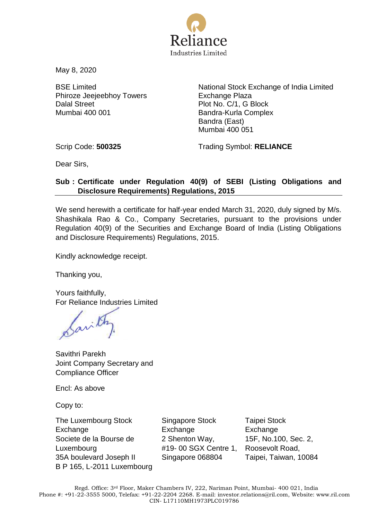

May 8, 2020

BSE Limited Phiroze Jeejeebhoy Towers Dalal Street Mumbai 400 001

National Stock Exchange of India Limited Exchange Plaza Plot No. C/1, G Block Bandra-Kurla Complex Bandra (East) Mumbai 400 051

Scrip Code: **500325** Trading Symbol: **RELIANCE**

Dear Sirs,

#### **Sub : Certificate under Regulation 40(9) of SEBI (Listing Obligations and Disclosure Requirements) Regulations, 2015**

We send herewith a certificate for half-year ended March 31, 2020, duly signed by M/s. Shashikala Rao & Co., Company Secretaries, pursuant to the provisions under Regulation 40(9) of the Securities and Exchange Board of India (Listing Obligations and Disclosure Requirements) Regulations, 2015.

Kindly acknowledge receipt.

Thanking you,

Yours faithfully, For Reliance Industries Limited

Savithri Parekh Joint Company Secretary and Compliance Officer

Encl: As above

Copy to:

The Luxembourg Stock Exchange Societe de la Bourse de Luxembourg 35A boulevard Joseph II B P 165, L-2011 Luxembourg

Singapore Stock **Exchange** 2 Shenton Way, #19- 00 SGX Centre 1, Singapore 068804

Taipei Stock **Exchange** 15F, No.100, Sec. 2, Roosevolt Road, Taipei, Taiwan, 10084